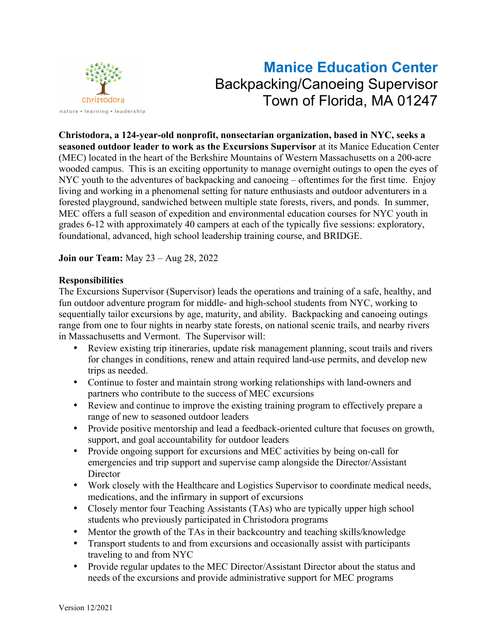

# **Manice Education Center** Backpacking/Canoeing Supervisor Town of Florida, MA 01247

**Christodora, a 124-year-old nonprofit, nonsectarian organization, based in NYC, seeks a seasoned outdoor leader to work as the Excursions Supervisor** at its Manice Education Center (MEC) located in the heart of the Berkshire Mountains of Western Massachusetts on a 200-acre wooded campus. This is an exciting opportunity to manage overnight outings to open the eyes of NYC youth to the adventures of backpacking and canoeing – oftentimes for the first time. Enjoy living and working in a phenomenal setting for nature enthusiasts and outdoor adventurers in a forested playground, sandwiched between multiple state forests, rivers, and ponds. In summer, MEC offers a full season of expedition and environmental education courses for NYC youth in grades 6-12 with approximately 40 campers at each of the typically five sessions: exploratory, foundational, advanced, high school leadership training course, and BRIDGE.

**Join our Team:** May 23 – Aug 28, 2022

#### **Responsibilities**

The Excursions Supervisor (Supervisor) leads the operations and training of a safe, healthy, and fun outdoor adventure program for middle- and high-school students from NYC, working to sequentially tailor excursions by age, maturity, and ability. Backpacking and canoeing outings range from one to four nights in nearby state forests, on national scenic trails, and nearby rivers in Massachusetts and Vermont. The Supervisor will:

- Review existing trip itineraries, update risk management planning, scout trails and rivers for changes in conditions, renew and attain required land-use permits, and develop new trips as needed.
- Continue to foster and maintain strong working relationships with land-owners and partners who contribute to the success of MEC excursions
- Review and continue to improve the existing training program to effectively prepare a range of new to seasoned outdoor leaders
- Provide positive mentorship and lead a feedback-oriented culture that focuses on growth, support, and goal accountability for outdoor leaders
- Provide ongoing support for excursions and MEC activities by being on-call for emergencies and trip support and supervise camp alongside the Director/Assistant **Director**
- Work closely with the Healthcare and Logistics Supervisor to coordinate medical needs, medications, and the infirmary in support of excursions
- Closely mentor four Teaching Assistants (TAs) who are typically upper high school students who previously participated in Christodora programs
- Mentor the growth of the TAs in their backcountry and teaching skills/knowledge
- Transport students to and from excursions and occasionally assist with participants traveling to and from NYC
- Provide regular updates to the MEC Director/Assistant Director about the status and needs of the excursions and provide administrative support for MEC programs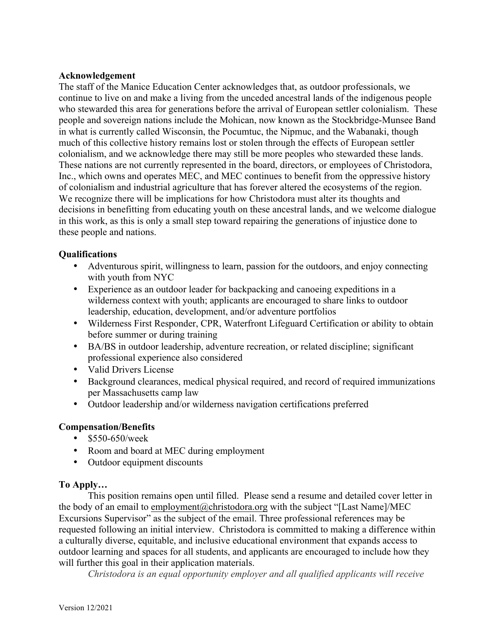### **Acknowledgement**

The staff of the Manice Education Center acknowledges that, as outdoor professionals, we continue to live on and make a living from the unceded ancestral lands of the indigenous people who stewarded this area for generations before the arrival of European settler colonialism. These people and sovereign nations include the Mohican, now known as the Stockbridge-Munsee Band in what is currently called Wisconsin, the Pocumtuc, the Nipmuc, and the Wabanaki, though much of this collective history remains lost or stolen through the effects of European settler colonialism, and we acknowledge there may still be more peoples who stewarded these lands. These nations are not currently represented in the board, directors, or employees of Christodora, Inc., which owns and operates MEC, and MEC continues to benefit from the oppressive history of colonialism and industrial agriculture that has forever altered the ecosystems of the region. We recognize there will be implications for how Christodora must alter its thoughts and decisions in benefitting from educating youth on these ancestral lands, and we welcome dialogue in this work, as this is only a small step toward repairing the generations of injustice done to these people and nations.

#### **Qualifications**

- Adventurous spirit, willingness to learn, passion for the outdoors, and enjoy connecting with youth from NYC
- Experience as an outdoor leader for backpacking and canoeing expeditions in a wilderness context with youth; applicants are encouraged to share links to outdoor leadership, education, development, and/or adventure portfolios
- Wilderness First Responder, CPR, Waterfront Lifeguard Certification or ability to obtain before summer or during training
- BA/BS in outdoor leadership, adventure recreation, or related discipline; significant professional experience also considered
- Valid Drivers License
- Background clearances, medical physical required, and record of required immunizations per Massachusetts camp law
- Outdoor leadership and/or wilderness navigation certifications preferred

## **Compensation/Benefits**

- \$550-650/week
- Room and board at MEC during employment
- Outdoor equipment discounts

## **To Apply…**

This position remains open until filled. Please send a resume and detailed cover letter in the body of an email to employment@christodora.org with the subject "[Last Name]/MEC Excursions Supervisor" as the subject of the email. Three professional references may be requested following an initial interview. Christodora is committed to making a difference within a culturally diverse, equitable, and inclusive educational environment that expands access to outdoor learning and spaces for all students, and applicants are encouraged to include how they will further this goal in their application materials.

*Christodora is an equal opportunity employer and all qualified applicants will receive*